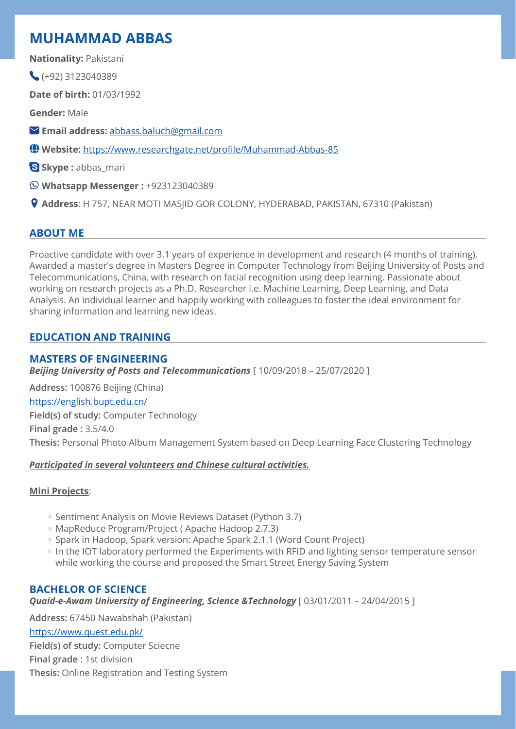# **MUHAMMAD ABBAS**

**Nationality:** Pakistani

 $( +92)$  3123040389

**Date of birth:** 01/03/1992

**Gender:** Male

**Email address:** [abbass.baluch@gmail.com](mailto:abbass.baluch@gmail.com)

**Website:** [https://www.researchgate.net/pro](https://www.researchgate.net/profile/Muhammad-Abbas-85)file/Muhammad-Abbas-85

**Skype :** abbas\_mari

**Whatsapp Messenger :** +923123040389

**Address**: H 757, NEAR MOTI MASJID GOR COLONY, HYDERABAD, PAKISTAN, 67310 (Pakistan)

# **ABOUT ME**

Proactive candidate with over 3.1 years of experience in development and research (4 months of training). Awarded a master's degree in Masters Degree in Computer Technology from Beijing University of Posts and Telecommunications, China, with research on facial recognition using deep learning. Passionate about working on research projects as a Ph.D. Researcher i.e. Machine Learning, Deep Learning, and Data Analysis. An individual learner and happily working with colleagues to foster the ideal environment for sharing information and learning new ideas.

# **EDUCATION AND TRAINING**

# **MASTERS OF ENGINEERING**

*Beijing University of Posts and Telecommunications* [ 10/09/2018 – 25/07/2020 ]

**Address:** 100876 Beijing (China) <https://english.bupt.edu.cn/> **Field(s) of study:** Computer Technology **Final grade :** 3.5/4.0 **Thesis:** Personal Photo Album Management System based on Deep Learning Face Clustering Technology

### *Participated in several volunteers and Chinese cultural activities.*

# **Mini Projects**:

- Sentiment Analysis on Movie Reviews Dataset (Python 3.7)
- MapReduce Program/Project ( Apache Hadoop 2.7.3) ◦
- Spark in Hadoop, Spark version: Apache Spark 2.1.1 (Word Count Project)
- In the IOT laboratory performed the Experiments with RFID and lighting sensor temperature sensor while working the course and proposed the Smart Street Energy Saving System

# **BACHELOR OF SCIENCE**

*Quaid-e-Awam University of Engineering, Science &Technology* [ 03/01/2011 – 24/04/2015 ]

**Address:** 67450 Nawabshah (Pakistan) <https://www.quest.edu.pk/> **Field(s) of study:** Computer Sciecne **Final grade :** 1st division **Thesis:** Online Registration and Testing System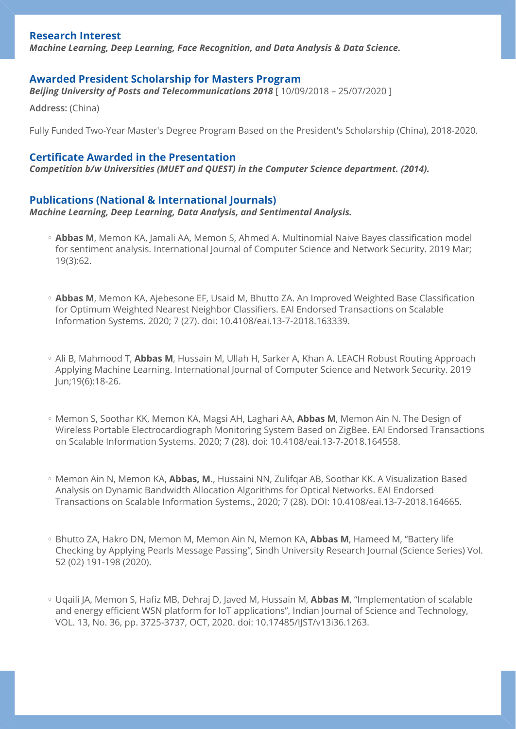### **Research Interest**

*Machine Learning, Deep Learning, Face Recognition, and Data Analysis & Data Science.*

### **Awarded President Scholarship for Masters Program**

*Beijing University of Posts and Telecommunications 2018* [ 10/09/2018 – 25/07/2020 ]

**Address:** (China)

Fully Funded Two-Year Master's Degree Program Based on the President's Scholarship (China), 2018-2020.

### **Certificate Awarded in the Presentation**

*Competition b/w Universities (MUET and QUEST) in the Computer Science department. (2014).*

### **Publications (National & International Journals)**

*Machine Learning, Deep Learning, Data Analysis, and Sentimental Analysis.*

- **Abbas M**, Memon KA, Jamali AA, Memon S, Ahmed A. Multinomial Naive Bayes classification model for sentiment analysis. International Journal of Computer Science and Network Security. 2019 Mar; 19(3):62.
- Abbas M, Memon KA, Ajebesone EF, Usaid M, Bhutto ZA. An Improved Weighted Base Classification for Optimum Weighted Nearest Neighbor Classifiers. EAI Endorsed Transactions on Scalable Information Systems. 2020; 7 (27). doi: 10.4108/eai.13-7-2018.163339.
- Ali B, Mahmood T, **Abbas M**, Hussain M, Ullah H, Sarker A, Khan A. LEACH Robust Routing Approach Applying Machine Learning. International Journal of Computer Science and Network Security. 2019 Jun;19(6):18-26.
- Memon S, Soothar KK, Memon KA, Magsi AH, Laghari AA, **Abbas M**, Memon Ain N. The Design of Wireless Portable Electrocardiograph Monitoring System Based on ZigBee. EAI Endorsed Transactions on Scalable Information Systems. 2020; 7 (28). doi: 10.4108/eai.13-7-2018.164558.
- Memon Ain N, Memon KA, **Abbas, M**., Hussaini NN, Zulifqar AB, Soothar KK. A Visualization Based Analysis on Dynamic Bandwidth Allocation Algorithms for Optical Networks. EAI Endorsed Transactions on Scalable Information Systems., 2020; 7 (28). DOI: 10.4108/eai.13-7-2018.164665.
- Bhutto ZA, Hakro DN, Memon M, Memon Ain N, Memon KA, **Abbas M**, Hameed M, "Battery life Checking by Applying Pearls Message Passing", Sindh University Research Journal (Science Series) Vol. 52 (02) 191-198 (2020).
- Uqaili JA, Memon S, Hafiz MB, Dehraj D, Javed M, Hussain M, **Abbas M**, "Implementation of scalable and energy efficient WSN platform for IoT applications", Indian Journal of Science and Technology, VOL. 13, No. 36, pp. 3725-3737, OCT, 2020. doi: 10.17485/IJST/v13i36.1263.